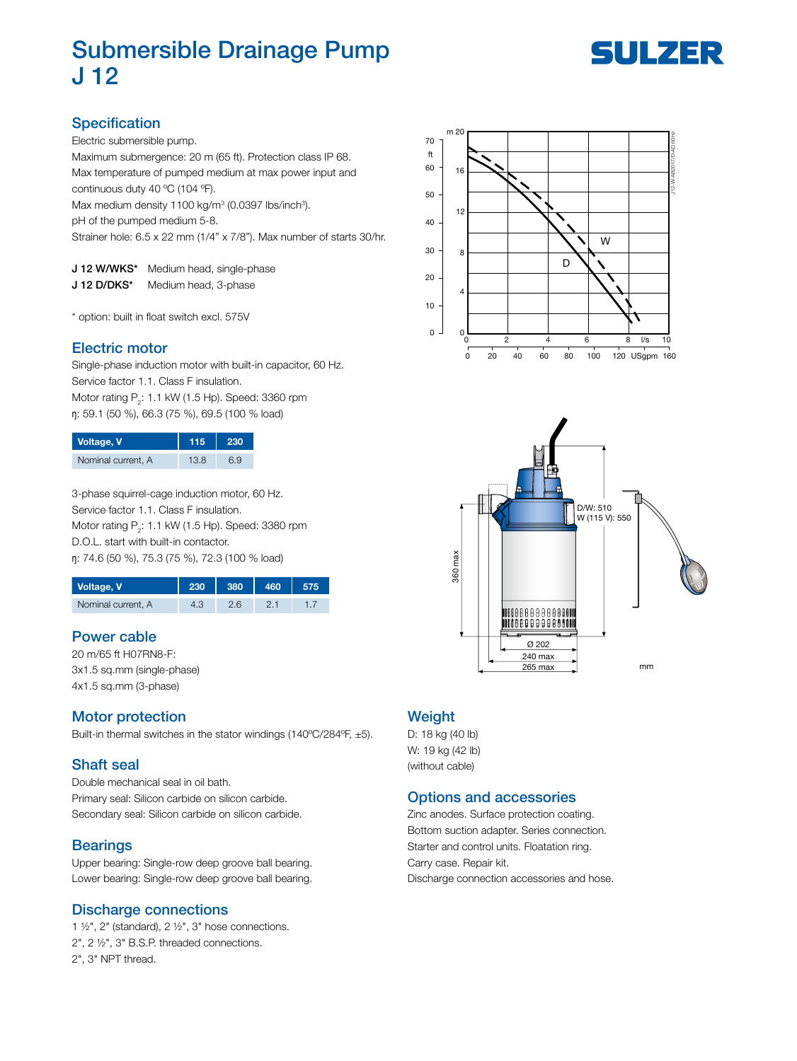# Submersible Drainage Pump J 12



# **Specification**

Electric submersible pump.

Maximum submergence: 20 m (65 ft). Protection class IP 68. Max temperature of pumped medium at max power input and continuous duty 40 ºC (104 ºF).

Max medium density 1100 kg/m<sup>3</sup> (0.0397 lbs/inch<sup>3</sup>).

pH of the pumped medium 5-8.

Strainer hole: 6.5 x 22 mm (1/4" x 7/8"). Max number of starts 30/hr.

| J 12 W/WKS* | Medium head, single-phase |
|-------------|---------------------------|
| J 12 D/DKS* | Medium head, 3-phase      |

\* option: built in float switch excl. 575V

### Electric motor

Single-phase induction motor with built-in capacitor, 60 Hz. Service factor 1.1. Class F insulation. Motor rating  $\mathsf{P}_2$ : 1.1 kW (1.5 Hp). Speed: 3360 rpm ŋ: 59.1 (50 %), 66.3 (75 %), 69.5 (100 % load)

| Voltage, V         | 115  | 230 |
|--------------------|------|-----|
| Nominal current, A | 13.8 | 69  |

3-phase squirrel-cage induction motor, 60 Hz. Service factor 1.1. Class F insulation. Motor rating  $\mathsf{P}_2$ : 1.1 kW (1.5 Hp). Speed: 3380 rpm D.O.L. start with built-in contactor. ŋ: 74.6 (50 %), 75.3 (75 %), 72.3 (100 % load)

| Voltage, V         |  |  |
|--------------------|--|--|
| Nominal current, A |  |  |

## Power cable

20 m/65 ft H07RN8-F: 3x1.5 sq.mm (single-phase) 4x1.5 sq.mm (3-phase)

## Motor protection

Built-in thermal switches in the stator windings (140ºC/284ºF, ±5).

## Shaft seal

Double mechanical seal in oil bath. Primary seal: Silicon carbide on silicon carbide. Secondary seal: Silicon carbide on silicon carbide.

#### **Bearings**

Upper bearing: Single-row deep groove ball bearing. Lower bearing: Single-row deep groove ball bearing.

#### Discharge connections

1  $\frac{1}{2}$ , 2" (standard), 2  $\frac{1}{2}$ ", 3" hose connections. 2", 2 ½", 3" B.S.P. threaded connections. 2", 3" NPT thread.





### **Weight**

D: 18 kg (40 lb) W: 19 kg (42 lb) (without cable)

#### Options and accessories

Zinc anodes. Surface protection coating. Bottom suction adapter. Series connection. Starter and control units. Floatation ring. Carry case. Repair kit. Discharge connection accessories and hose.